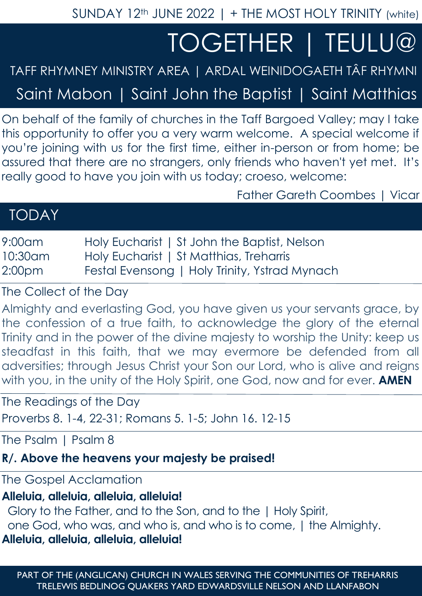SUNDAY 12<sup>th</sup> JUNE 2022 | + THE MOST HOLY TRINITY (white)

# TOGETHER | TEULU@

## TAFF RHYMNEY MINISTRY AREA | ARDAL WEINIDOGAETH TÂF RHYMNI

Saint Mabon | Saint John the Baptist | Saint Matthias

On behalf of the family of churches in the Taff Bargoed Valley; may I take this opportunity to offer you a very warm welcome. A special welcome if you're joining with us for the first time, either in-person or from home; be assured that there are no strangers, only friends who haven't yet met. It's really good to have you join with us today; croeso, welcome:

Father Gareth Coombes | Vicar

## TODAY

| $9:00$ am          | Holy Eucharist   St John the Baptist, Nelson  |
|--------------------|-----------------------------------------------|
| 10:30am            | Holy Eucharist   St Matthias, Treharris       |
| 2:00 <sub>pm</sub> | Festal Evensong   Holy Trinity, Ystrad Mynach |

The Collect of the Day

Almighty and everlasting God, you have given us your servants grace, by the confession of a true faith, to acknowledge the glory of the eternal Trinity and in the power of the divine majesty to worship the Unity: keep us steadfast in this faith, that we may evermore be defended from all adversities; through Jesus Christ your Son our Lord, who is alive and reigns with you, in the unity of the Holy Spirit, one God, now and for ever. **AMEN**

The Readings of the Day

Proverbs 8. 1-4, 22-31; Romans 5. 1-5; John 16. 12-15

The Psalm 1 Psalm 8

#### **R/. Above the heavens your majesty be praised!**

The Gospel Acclamation

### **Alleluia, alleluia, alleluia, alleluia!**

 Glory to the Father, and to the Son, and to the | Holy Spirit, one God, who was, and who is, and who is to come, | the Almighty. **Alleluia, alleluia, alleluia, alleluia!**

PART OF THE (ANGLICAN) CHURCH IN WALES SERVING THE COMMUNITIES OF TREHARRIS TRELEWIS BEDLINOG QUAKERS YARD EDWARDSVILLE NELSON AND LLANFABON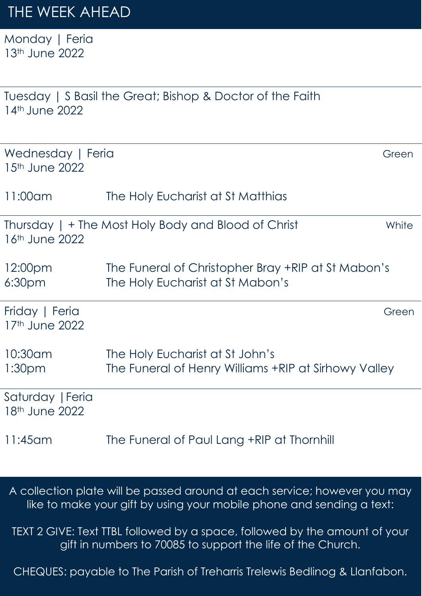Monday | Feria 13<sup>th</sup> June 2022

| 14th June 2022                      | Tuesday   S Basil the Great; Bishop & Doctor of the Faith                               |       |
|-------------------------------------|-----------------------------------------------------------------------------------------|-------|
| Wednesday   Feria<br>15th June 2022 |                                                                                         | Green |
| 11:00am                             | The Holy Eucharist at St Matthias                                                       |       |
| 16th June 2022                      | Thursday   + The Most Holy Body and Blood of Christ                                     | White |
| 12:00pm<br>6:30 <sub>pm</sub>       | The Funeral of Christopher Bray +RIP at St Mabon's<br>The Holy Eucharist at St Mabon's  |       |
| Friday   Feria<br>17th June 2022    |                                                                                         | Green |
| 10:30am<br>1:30 <sub>pm</sub>       | The Holy Eucharist at St John's<br>The Funeral of Henry Williams +RIP at Sirhowy Valley |       |
| Saturday   Feria<br>18th June 2022  |                                                                                         |       |
| 11:45 am                            | The Funeral of Paul Lang +RIP at Thornhill                                              |       |

A collection plate will be passed around at each service; however you may like to make your gift by using your mobile phone and sending a text:

TEXT 2 GIVE: Text TTBL followed by a space, followed by the amount of your gift in numbers to 70085 to support the life of the Church.

CHEQUES: payable to The Parish of Treharris Trelewis Bedlinog & Llanfabon.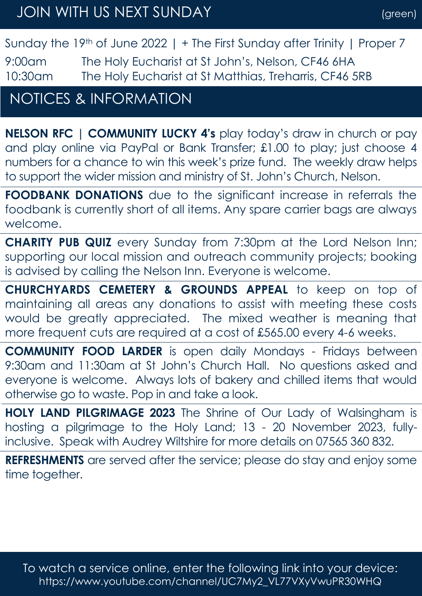Sunday the 19<sup>th</sup> of June 2022 | + The First Sunday after Trinity | Proper 7

9:00am The Holy Eucharist at St John's, Nelson, CF46 6HA 10:30am The Holy Eucharist at St Matthias, Treharris, CF46 5RB

## NOTICES & INFORMATION

**NELSON RFC | COMMUNITY LUCKY 4's** play today's draw in church or pay and play online via PayPal or Bank Transfer; £1.00 to play; just choose 4 numbers for a chance to win this week's prize fund. The weekly draw helps to support the wider mission and ministry of St. John's Church, Nelson.

**FOODBANK DONATIONS** due to the significant increase in referrals the foodbank is currently short of all items. Any spare carrier bags are always welcome.

**CHARITY PUB QUIZ** every Sunday from 7:30pm at the Lord Nelson Inn; supporting our local mission and outreach community projects; booking is advised by calling the Nelson Inn. Everyone is welcome.

**CHURCHYARDS CEMETERY & GROUNDS APPEAL** to keep on top of maintaining all areas any donations to assist with meeting these costs would be greatly appreciated. The mixed weather is meaning that more frequent cuts are required at a cost of £565.00 every 4-6 weeks.

**COMMUNITY FOOD LARDER** is open daily Mondays - Fridays between 9:30am and 11:30am at St John's Church Hall. No questions asked and everyone is welcome. Always lots of bakery and chilled items that would otherwise go to waste. Pop in and take a look.

**HOLY LAND PILGRIMAGE 2023** The Shrine of Our Lady of Walsingham is hosting a pilgrimage to the Holy Land; 13 - 20 November 2023, fullyinclusive. Speak with Audrey Wiltshire for more details on 07565 360 832.

**REFRESHMENTS** are served after the service; please do stay and enjoy some time together.

To watch a service online, enter the following link into your device: https://www.youtube.com/channel/UC7My2\_VL77VXyVwuPR30WHQ